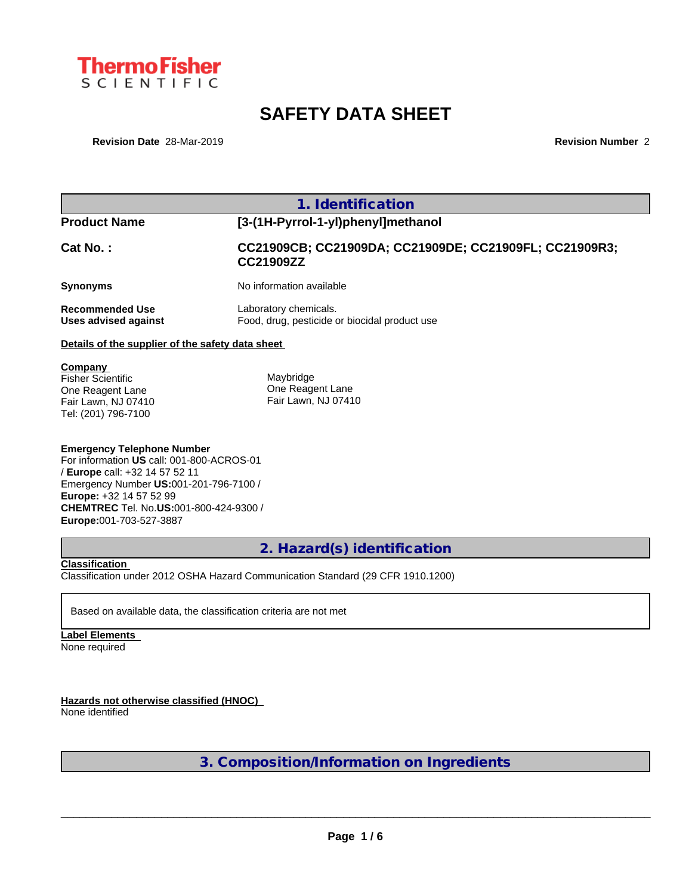

# **SAFETY DATA SHEET**

**Revision Date** 28-Mar-2019 **Revision Number** 2

| <b>Product Name</b>                                                                            | [3-(1H-Pyrrol-1-yl)phenyl]methanol                                     |
|------------------------------------------------------------------------------------------------|------------------------------------------------------------------------|
| <b>Cat No.:</b>                                                                                | CC21909CB; CC21909DA; CC21909DE; CC21909FL; CC21909R3;<br>CC21909ZZ    |
| Synonyms                                                                                       | No information available                                               |
| <b>Recommended Use</b><br>Uses advised against                                                 | Laboratory chemicals.<br>Food, drug, pesticide or biocidal product use |
| Details of the supplier of the safety data sheet                                               |                                                                        |
| Company<br>Fisher Scientific<br>One Reagent Lane<br>Fair Lawn, NJ 07410<br>Tel: (201) 796-7100 | Maybridge<br>One Reagent Lane<br>Fair Lawn, NJ 07410                   |

/ **Europe** call: +32 14 57 52 11 Emergency Number **US:**001-201-796-7100 / **Europe:** +32 14 57 52 99 **CHEMTREC** Tel. No.**US:**001-800-424-9300 / **Europe:**001-703-527-3887

# **2. Hazard(s) identification**

### **Classification**

Classification under 2012 OSHA Hazard Communication Standard (29 CFR 1910.1200)

Based on available data, the classification criteria are not met

**Label Elements** None required

**Hazards not otherwise classified (HNOC)**

None identified

**3. Composition/Information on Ingredients**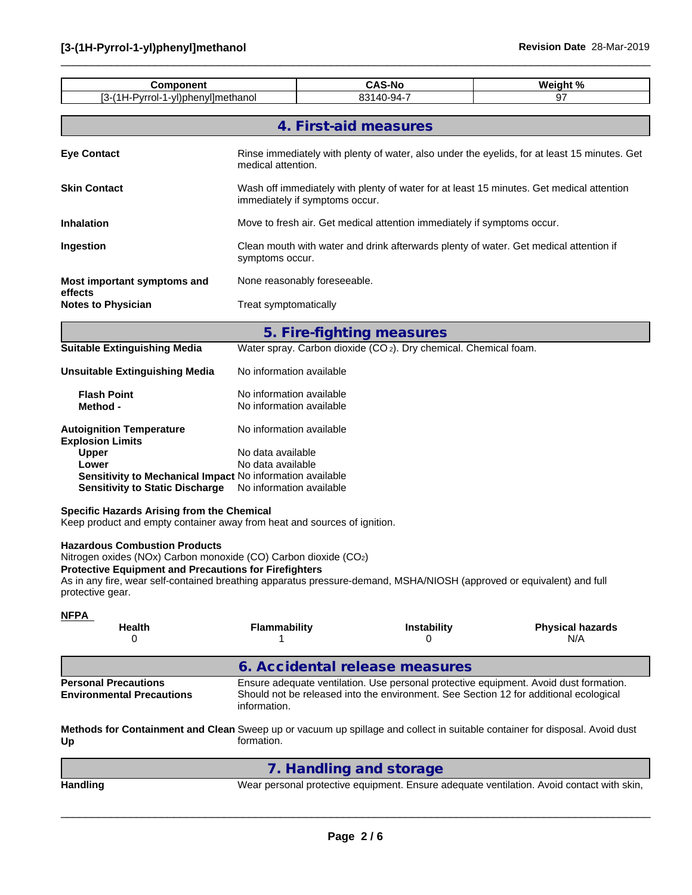| <b>Component</b>                                                                                                                                                                                                                                                                                                     |                                                                                                                            | <b>CAS-No</b>                                                                                                      |                    | Weight %                                                                                                                                                                       |  |  |  |  |  |  |
|----------------------------------------------------------------------------------------------------------------------------------------------------------------------------------------------------------------------------------------------------------------------------------------------------------------------|----------------------------------------------------------------------------------------------------------------------------|--------------------------------------------------------------------------------------------------------------------|--------------------|--------------------------------------------------------------------------------------------------------------------------------------------------------------------------------|--|--|--|--|--|--|
| [3-(1H-Pyrrol-1-yl)phenyl]methanol                                                                                                                                                                                                                                                                                   |                                                                                                                            | 83140-94-7                                                                                                         |                    | 97                                                                                                                                                                             |  |  |  |  |  |  |
|                                                                                                                                                                                                                                                                                                                      |                                                                                                                            | 4. First-aid measures                                                                                              |                    |                                                                                                                                                                                |  |  |  |  |  |  |
| <b>Eye Contact</b>                                                                                                                                                                                                                                                                                                   |                                                                                                                            | Rinse immediately with plenty of water, also under the eyelids, for at least 15 minutes. Get<br>medical attention. |                    |                                                                                                                                                                                |  |  |  |  |  |  |
| <b>Skin Contact</b>                                                                                                                                                                                                                                                                                                  | Wash off immediately with plenty of water for at least 15 minutes. Get medical attention<br>immediately if symptoms occur. |                                                                                                                    |                    |                                                                                                                                                                                |  |  |  |  |  |  |
| <b>Inhalation</b>                                                                                                                                                                                                                                                                                                    |                                                                                                                            | Move to fresh air. Get medical attention immediately if symptoms occur.                                            |                    |                                                                                                                                                                                |  |  |  |  |  |  |
| Ingestion                                                                                                                                                                                                                                                                                                            |                                                                                                                            | Clean mouth with water and drink afterwards plenty of water. Get medical attention if<br>symptoms occur.           |                    |                                                                                                                                                                                |  |  |  |  |  |  |
| Most important symptoms and                                                                                                                                                                                                                                                                                          |                                                                                                                            | None reasonably foreseeable.                                                                                       |                    |                                                                                                                                                                                |  |  |  |  |  |  |
| effects<br><b>Notes to Physician</b>                                                                                                                                                                                                                                                                                 | Treat symptomatically                                                                                                      |                                                                                                                    |                    |                                                                                                                                                                                |  |  |  |  |  |  |
|                                                                                                                                                                                                                                                                                                                      |                                                                                                                            | 5. Fire-fighting measures                                                                                          |                    |                                                                                                                                                                                |  |  |  |  |  |  |
| <b>Suitable Extinguishing Media</b>                                                                                                                                                                                                                                                                                  |                                                                                                                            | Water spray. Carbon dioxide (CO <sub>2</sub> ). Dry chemical. Chemical foam.                                       |                    |                                                                                                                                                                                |  |  |  |  |  |  |
| <b>Unsuitable Extinguishing Media</b>                                                                                                                                                                                                                                                                                | No information available                                                                                                   |                                                                                                                    |                    |                                                                                                                                                                                |  |  |  |  |  |  |
| <b>Flash Point</b><br>Method -                                                                                                                                                                                                                                                                                       | No information available<br>No information available                                                                       |                                                                                                                    |                    |                                                                                                                                                                                |  |  |  |  |  |  |
| <b>Autoignition Temperature</b><br><b>Explosion Limits</b><br><b>Upper</b><br>Lower<br>Sensitivity to Mechanical Impact No information available<br><b>Sensitivity to Static Discharge</b>                                                                                                                           | No information available<br>No data available<br>No data available<br>No information available                             |                                                                                                                    |                    |                                                                                                                                                                                |  |  |  |  |  |  |
| <b>Specific Hazards Arising from the Chemical</b><br>Keep product and empty container away from heat and sources of ignition.                                                                                                                                                                                        |                                                                                                                            |                                                                                                                    |                    |                                                                                                                                                                                |  |  |  |  |  |  |
| <b>Hazardous Combustion Products</b><br>Nitrogen oxides (NOx) Carbon monoxide (CO) Carbon dioxide (CO2)<br><b>Protective Equipment and Precautions for Firefighters</b><br>As in any fire, wear self-contained breathing apparatus pressure-demand, MSHA/NIOSH (approved or equivalent) and full<br>protective gear. |                                                                                                                            |                                                                                                                    |                    |                                                                                                                                                                                |  |  |  |  |  |  |
| <b>NFPA</b><br>Health                                                                                                                                                                                                                                                                                                | <b>Flammability</b>                                                                                                        |                                                                                                                    | <b>Instability</b> | <b>Physical hazards</b>                                                                                                                                                        |  |  |  |  |  |  |
| 0                                                                                                                                                                                                                                                                                                                    |                                                                                                                            |                                                                                                                    |                    | N/A                                                                                                                                                                            |  |  |  |  |  |  |
|                                                                                                                                                                                                                                                                                                                      |                                                                                                                            | 6. Accidental release measures                                                                                     |                    |                                                                                                                                                                                |  |  |  |  |  |  |
| <b>Personal Precautions</b><br><b>Environmental Precautions</b>                                                                                                                                                                                                                                                      | information.                                                                                                               |                                                                                                                    |                    | Ensure adequate ventilation. Use personal protective equipment. Avoid dust formation.<br>Should not be released into the environment. See Section 12 for additional ecological |  |  |  |  |  |  |
| Up                                                                                                                                                                                                                                                                                                                   | formation.                                                                                                                 |                                                                                                                    |                    | Methods for Containment and Clean Sweep up or vacuum up spillage and collect in suitable container for disposal. Avoid dust                                                    |  |  |  |  |  |  |
|                                                                                                                                                                                                                                                                                                                      |                                                                                                                            | 7. Handling and storage                                                                                            |                    |                                                                                                                                                                                |  |  |  |  |  |  |
| <b>Handling</b>                                                                                                                                                                                                                                                                                                      |                                                                                                                            |                                                                                                                    |                    | Wear personal protective equipment. Ensure adequate ventilation. Avoid contact with skin,                                                                                      |  |  |  |  |  |  |
|                                                                                                                                                                                                                                                                                                                      |                                                                                                                            |                                                                                                                    |                    |                                                                                                                                                                                |  |  |  |  |  |  |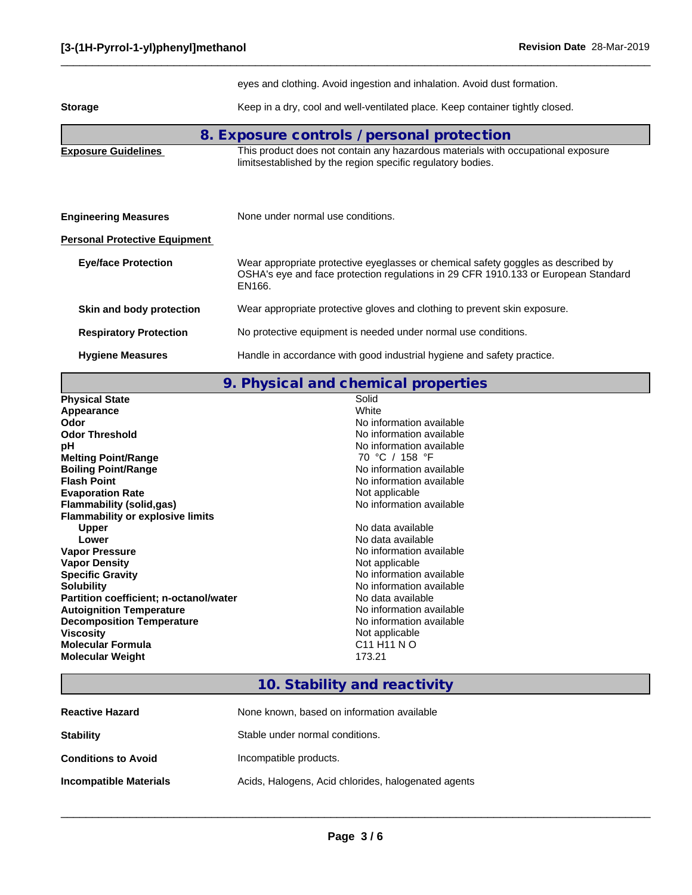|                                      | eyes and clothing. Avoid ingestion and inhalation. Avoid dust formation.                                                                                                          |
|--------------------------------------|-----------------------------------------------------------------------------------------------------------------------------------------------------------------------------------|
| <b>Storage</b>                       | Keep in a dry, cool and well-ventilated place. Keep container tightly closed.                                                                                                     |
|                                      | 8. Exposure controls / personal protection                                                                                                                                        |
| <b>Exposure Guidelines</b>           | This product does not contain any hazardous materials with occupational exposure<br>limitsestablished by the region specific regulatory bodies.                                   |
| <b>Engineering Measures</b>          | None under normal use conditions.                                                                                                                                                 |
| <b>Personal Protective Equipment</b> |                                                                                                                                                                                   |
| <b>Eye/face Protection</b>           | Wear appropriate protective eyeglasses or chemical safety goggles as described by<br>OSHA's eye and face protection regulations in 29 CFR 1910.133 or European Standard<br>EN166. |
| Skin and body protection             | Wear appropriate protective gloves and clothing to prevent skin exposure.                                                                                                         |
| <b>Respiratory Protection</b>        | No protective equipment is needed under normal use conditions.                                                                                                                    |
| <b>Hygiene Measures</b>              | Handle in accordance with good industrial hygiene and safety practice.                                                                                                            |

**9. Physical and chemical properties**

| <b>Physical State</b>                         | Solid                               |
|-----------------------------------------------|-------------------------------------|
| Appearance                                    | White                               |
| Odor                                          | No information available            |
| <b>Odor Threshold</b>                         | No information available            |
| рH                                            | No information available            |
| <b>Melting Point/Range</b>                    | 70 °C / 158 °F                      |
| <b>Boiling Point/Range</b>                    | No information available            |
| <b>Flash Point</b>                            | No information available            |
| <b>Evaporation Rate</b>                       | Not applicable                      |
| Flammability (solid,gas)                      | No information available            |
| <b>Flammability or explosive limits</b>       |                                     |
| <b>Upper</b>                                  | No data available                   |
| Lower                                         | No data available                   |
| <b>Vapor Pressure</b>                         | No information available            |
| <b>Vapor Density</b>                          | Not applicable                      |
| <b>Specific Gravity</b>                       | No information available            |
| <b>Solubility</b>                             | No information available            |
| <b>Partition coefficient; n-octanol/water</b> | No data available                   |
| <b>Autoignition Temperature</b>               | No information available            |
| <b>Decomposition Temperature</b>              | No information available            |
| <b>Viscosity</b>                              | Not applicable                      |
| <b>Molecular Formula</b>                      | C <sub>11</sub> H <sub>11</sub> N O |
| <b>Molecular Weight</b>                       | 173.21                              |
|                                               |                                     |

# **10. Stability and reactivity**

| <b>Reactive Hazard</b>        | None known, based on information available          |
|-------------------------------|-----------------------------------------------------|
| <b>Stability</b>              | Stable under normal conditions.                     |
| <b>Conditions to Avoid</b>    | Incompatible products.                              |
| <b>Incompatible Materials</b> | Acids, Halogens, Acid chlorides, halogenated agents |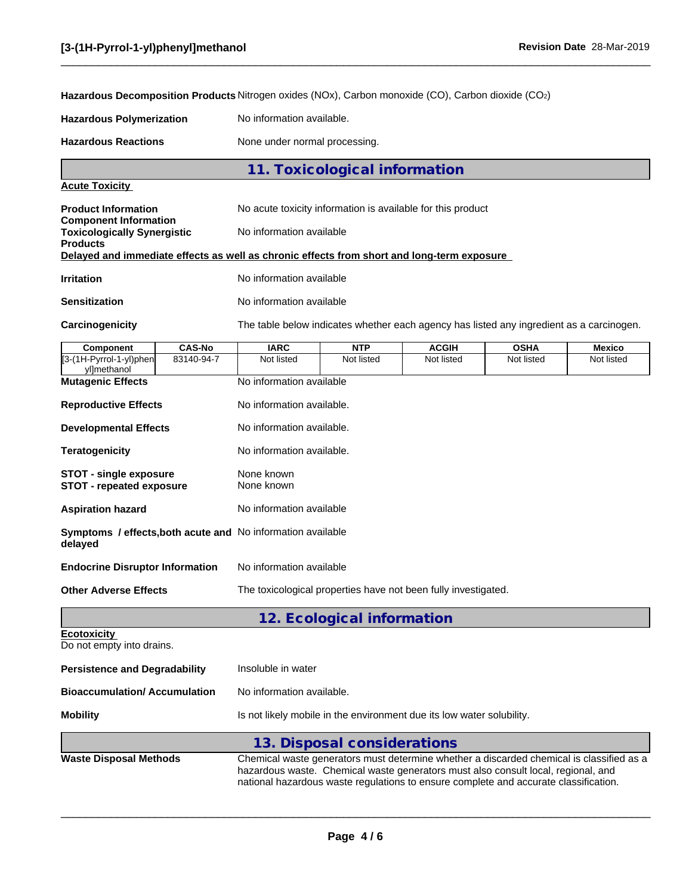**Hazardous Decomposition Products** Nitrogen oxides (NOx), Carbon monoxide (CO), Carbon dioxide (CO2)

**Hazardous Polymerization** No information available.

**Hazardous Reactions** None under normal processing.

**11. Toxicological information**

## **Acute Toxicity**

**Products**

**Product Information** 

| No acute toxicity information is available for this product |  |  |  |
|-------------------------------------------------------------|--|--|--|

**Component Information Toxicologically Synergistic** No information available

#### **Delayed and immediate effects as well as chronic effects from short and long-term exposure**

| Irritation | No information available |
|------------|--------------------------|
|            |                          |

**Sensitization** No information available

**Carcinogenicity** The table below indicates whether each agency has listed any ingredient as a carcinogen.

 $\_$  ,  $\_$  ,  $\_$  ,  $\_$  ,  $\_$  ,  $\_$  ,  $\_$  ,  $\_$  ,  $\_$  ,  $\_$  ,  $\_$  ,  $\_$  ,  $\_$  ,  $\_$  ,  $\_$  ,  $\_$  ,  $\_$  ,  $\_$  ,  $\_$  ,  $\_$  ,  $\_$  ,  $\_$  ,  $\_$  ,  $\_$  ,  $\_$  ,  $\_$  ,  $\_$  ,  $\_$  ,  $\_$  ,  $\_$  ,  $\_$  ,  $\_$  ,  $\_$  ,  $\_$  ,  $\_$  ,  $\_$  ,  $\_$  ,

| <b>Component</b>                                                              | <b>CAS-No</b> | <b>IARC</b>                                                           | <b>NTP</b>                 | <b>ACGIH</b> | <b>OSHA</b> | <b>Mexico</b> |
|-------------------------------------------------------------------------------|---------------|-----------------------------------------------------------------------|----------------------------|--------------|-------------|---------------|
| [3-(1H-Pyrrol-1-yl)phen<br>vllmethanol                                        | 83140-94-7    | Not listed                                                            | Not listed                 | Not listed   | Not listed  | Not listed    |
| <b>Mutagenic Effects</b>                                                      |               | No information available                                              |                            |              |             |               |
| <b>Reproductive Effects</b>                                                   |               | No information available.                                             |                            |              |             |               |
| <b>Developmental Effects</b>                                                  |               | No information available.                                             |                            |              |             |               |
| <b>Teratogenicity</b>                                                         |               | No information available.                                             |                            |              |             |               |
| <b>STOT - single exposure</b><br><b>STOT - repeated exposure</b>              |               | None known<br>None known                                              |                            |              |             |               |
| <b>Aspiration hazard</b>                                                      |               | No information available                                              |                            |              |             |               |
| <b>Symptoms / effects, both acute and No information available</b><br>delayed |               |                                                                       |                            |              |             |               |
| <b>Endocrine Disruptor Information</b>                                        |               | No information available                                              |                            |              |             |               |
| <b>Other Adverse Effects</b>                                                  |               | The toxicological properties have not been fully investigated.        |                            |              |             |               |
|                                                                               |               |                                                                       | 12. Ecological information |              |             |               |
| <b>Ecotoxicity</b><br>Do not empty into drains.                               |               |                                                                       |                            |              |             |               |
| <b>Persistence and Degradability</b>                                          |               | Insoluble in water                                                    |                            |              |             |               |
| <b>Bioaccumulation/Accumulation</b>                                           |               | No information available.                                             |                            |              |             |               |
| <b>Mobility</b>                                                               |               | Is not likely mobile in the environment due its low water solubility. |                            |              |             |               |

|                               | 13. Disposal considerations                                                                                                                                                   |
|-------------------------------|-------------------------------------------------------------------------------------------------------------------------------------------------------------------------------|
| <b>Waste Disposal Methods</b> | Chemical waste generators must determine whether a discarded chemical is classified as a<br>hazardous waste. Chemical waste generators must also consult local, regional, and |
|                               | national hazardous waste regulations to ensure complete and accurate classification.                                                                                          |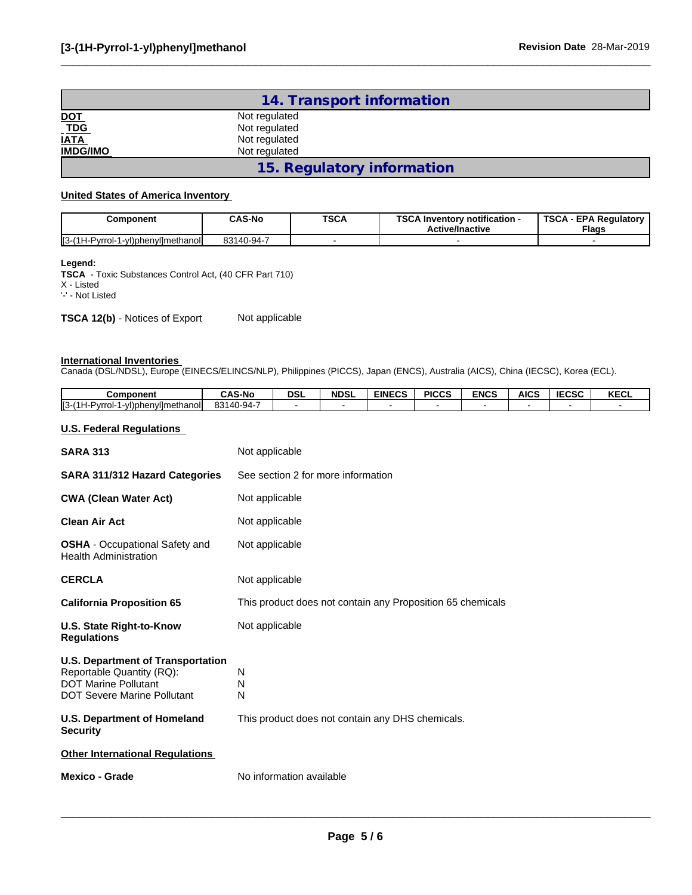|                                   | 14. Transport information  |  |
|-----------------------------------|----------------------------|--|
| <u>DOT</u><br>T <u>DG</u><br>IATA | Not regulated              |  |
|                                   | Not regulated              |  |
|                                   | Not regulated              |  |
| <b>IMDG/IMO</b>                   | Not regulated              |  |
|                                   | 15. Regulatory information |  |

#### **United States of America Inventory**

| Component | CAS-No     | <b>TSCA</b> | <b>TSCA</b><br><b>\ Inventorv notification -</b><br><b>Active/Inactive</b> | TSCA<br>A - EPA Regulatory<br>Flags |
|-----------|------------|-------------|----------------------------------------------------------------------------|-------------------------------------|
| ∥3-       | 83140-94-7 |             |                                                                            |                                     |

## **Legend:**

**TSCA** - Toxic Substances Control Act, (40 CFR Part 710) X - Listed '-' - Not Listed

**TSCA 12(b)** - Notices of Export Not applicable

#### **International Inventories**

Canada (DSL/NDSL), Europe (EINECS/ELINCS/NLP), Philippines (PICCS), Japan (ENCS), Australia (AICS), China (IECSC), Korea (ECL).

| Component                                       | <b>CAS-No</b> | <b>DSL</b> | <b>NDSL</b> | <b>EINECS</b> | <b>PICCS</b> | <b>ENCS</b> | <b>AICS</b> | <b>IECSC</b> | <b>KECL</b> |
|-------------------------------------------------|---------------|------------|-------------|---------------|--------------|-------------|-------------|--------------|-------------|
| $II3-(1H)$<br>1-yl)phenyl]methanol<br>H-Pvrrol- | 83140-94-7    |            |             |               |              |             |             |              |             |

## **U.S. Federal Regulations**

| <b>SARA 313</b>                                                                                                                            | Not applicable                                             |
|--------------------------------------------------------------------------------------------------------------------------------------------|------------------------------------------------------------|
| <b>SARA 311/312 Hazard Categories</b>                                                                                                      | See section 2 for more information                         |
| <b>CWA (Clean Water Act)</b>                                                                                                               | Not applicable                                             |
| <b>Clean Air Act</b>                                                                                                                       | Not applicable                                             |
| <b>OSHA</b> - Occupational Safety and<br><b>Health Administration</b>                                                                      | Not applicable                                             |
| <b>CERCLA</b>                                                                                                                              | Not applicable                                             |
| <b>California Proposition 65</b>                                                                                                           | This product does not contain any Proposition 65 chemicals |
| <b>U.S. State Right-to-Know</b><br><b>Regulations</b>                                                                                      | Not applicable                                             |
| <b>U.S. Department of Transportation</b><br>Reportable Quantity (RQ):<br><b>DOT Marine Pollutant</b><br><b>DOT Severe Marine Pollutant</b> | N<br>N<br>N                                                |
| <b>U.S. Department of Homeland</b><br><b>Security</b>                                                                                      | This product does not contain any DHS chemicals.           |
| <b>Other International Regulations</b>                                                                                                     |                                                            |
| <b>Mexico - Grade</b>                                                                                                                      | No information available                                   |